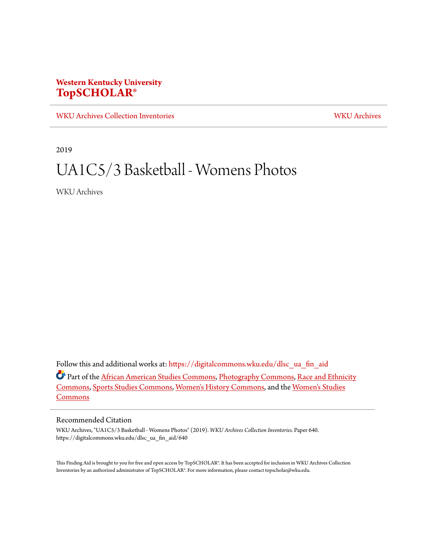# **Western Kentucky University [TopSCHOLAR®](https://digitalcommons.wku.edu?utm_source=digitalcommons.wku.edu%2Fdlsc_ua_fin_aid%2F640&utm_medium=PDF&utm_campaign=PDFCoverPages)**

[WKU Archives Collection Inventories](https://digitalcommons.wku.edu/dlsc_ua_fin_aid?utm_source=digitalcommons.wku.edu%2Fdlsc_ua_fin_aid%2F640&utm_medium=PDF&utm_campaign=PDFCoverPages) [WKU Archives](https://digitalcommons.wku.edu/dlsc_ua?utm_source=digitalcommons.wku.edu%2Fdlsc_ua_fin_aid%2F640&utm_medium=PDF&utm_campaign=PDFCoverPages)

2019

# UA1C5/3 Basketball - Womens Photos

WKU Archives

Follow this and additional works at: [https://digitalcommons.wku.edu/dlsc\\_ua\\_fin\\_aid](https://digitalcommons.wku.edu/dlsc_ua_fin_aid?utm_source=digitalcommons.wku.edu%2Fdlsc_ua_fin_aid%2F640&utm_medium=PDF&utm_campaign=PDFCoverPages)

Part of the [African American Studies Commons,](http://network.bepress.com/hgg/discipline/567?utm_source=digitalcommons.wku.edu%2Fdlsc_ua_fin_aid%2F640&utm_medium=PDF&utm_campaign=PDFCoverPages) [Photography Commons,](http://network.bepress.com/hgg/discipline/1142?utm_source=digitalcommons.wku.edu%2Fdlsc_ua_fin_aid%2F640&utm_medium=PDF&utm_campaign=PDFCoverPages) [Race and Ethnicity](http://network.bepress.com/hgg/discipline/426?utm_source=digitalcommons.wku.edu%2Fdlsc_ua_fin_aid%2F640&utm_medium=PDF&utm_campaign=PDFCoverPages) [Commons,](http://network.bepress.com/hgg/discipline/426?utm_source=digitalcommons.wku.edu%2Fdlsc_ua_fin_aid%2F640&utm_medium=PDF&utm_campaign=PDFCoverPages) [Sports Studies Commons](http://network.bepress.com/hgg/discipline/1198?utm_source=digitalcommons.wku.edu%2Fdlsc_ua_fin_aid%2F640&utm_medium=PDF&utm_campaign=PDFCoverPages), [Women's History Commons,](http://network.bepress.com/hgg/discipline/507?utm_source=digitalcommons.wku.edu%2Fdlsc_ua_fin_aid%2F640&utm_medium=PDF&utm_campaign=PDFCoverPages) and the [Women's Studies](http://network.bepress.com/hgg/discipline/561?utm_source=digitalcommons.wku.edu%2Fdlsc_ua_fin_aid%2F640&utm_medium=PDF&utm_campaign=PDFCoverPages) [Commons](http://network.bepress.com/hgg/discipline/561?utm_source=digitalcommons.wku.edu%2Fdlsc_ua_fin_aid%2F640&utm_medium=PDF&utm_campaign=PDFCoverPages)

#### Recommended Citation

WKU Archives, "UA1C5/3 Basketball - Womens Photos" (2019). *WKU Archives Collection Inventories.* Paper 640. https://digitalcommons.wku.edu/dlsc\_ua\_fin\_aid/640

This Finding Aid is brought to you for free and open access by TopSCHOLAR®. It has been accepted for inclusion in WKU Archives Collection Inventories by an authorized administrator of TopSCHOLAR®. For more information, please contact topscholar@wku.edu.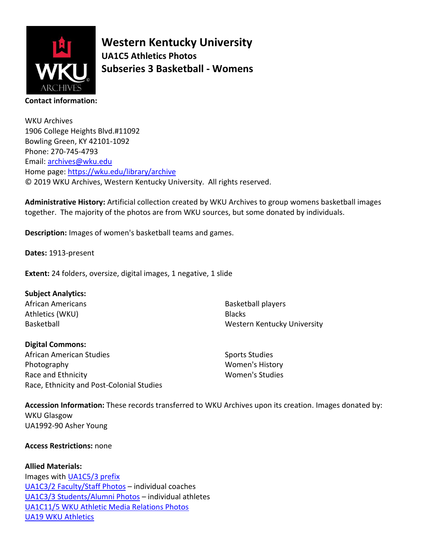

**Western Kentucky University UA1C5 Athletics Photos Subseries 3 Basketball - Womens**

WKU Archives 1906 College Heights Blvd.#11092 Bowling Green, KY 42101-1092 Phone: 270-745-4793 Email: [archives@wku.edu](mailto:archives@wku.edu) Home page:<https://wku.edu/library/archive> © 2019 WKU Archives, Western Kentucky University. All rights reserved.

**Administrative History:** Artificial collection created by WKU Archives to group womens basketball images together. The majority of the photos are from WKU sources, but some donated by individuals.

**Description:** Images of women's basketball teams and games.

**Dates:** 1913-present

**Extent:** 24 folders, oversize, digital images, 1 negative, 1 slide

## **Subject Analytics:**

African Americans Athletics (WKU) Basketball

Basketball players **Blacks** Western Kentucky University

| <b>Digital Commons:</b>                   |  |
|-------------------------------------------|--|
| African American Studies                  |  |
| Photography                               |  |
| Race and Ethnicity                        |  |
| Race, Ethnicity and Post-Colonial Studies |  |

Sports Studies Women's History Women's Studies

**Accession Information:** These records transferred to WKU Archives upon its creation. Images donated by: WKU Glasgow UA1992-90 Asher Young

### **Access Restrictions:** none

**Allied Materials:** 

Images with **UA1C5/3** prefix [UA1C3/2 Faculty/Staff Photos](https://digitalcommons.wku.edu/dlsc_ua_fin_aid/615/) – individual coaches [UA1C3/3 Students/Alumni Photos](https://digitalcommons.wku.edu/dlsc_ua_fin_aid/616/) – individual athletes [UA1C11/5 WKU Athletic Media Relations Photos](https://digitalcommons.wku.edu/dlsc_ua_fin_aid/33/) [UA19 WKU Athletics](https://digitalcommons.wku.edu/dlsc_ua_fin_aid/78/)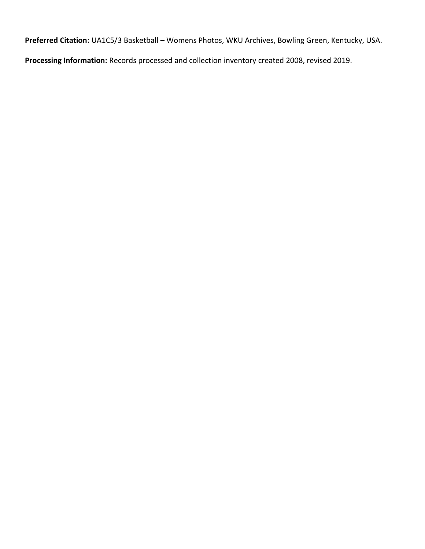**Preferred Citation:** UA1C5/3 Basketball – Womens Photos, WKU Archives, Bowling Green, Kentucky, USA.

**Processing Information:** Records processed and collection inventory created 2008, revised 2019.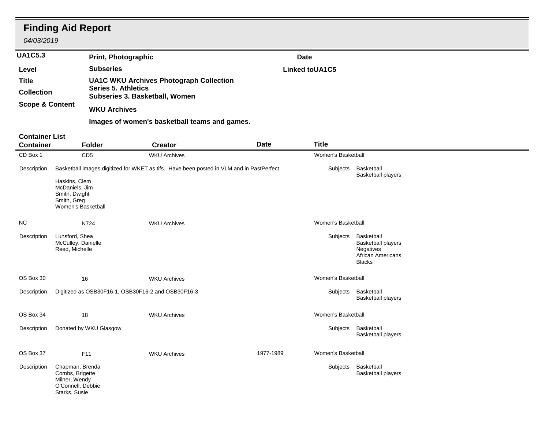|                                   | <b>Finding Aid Report</b><br>04/03/2019                                                   |                                                              |                                                                                           |             |                       |                                                                                                   |  |
|-----------------------------------|-------------------------------------------------------------------------------------------|--------------------------------------------------------------|-------------------------------------------------------------------------------------------|-------------|-----------------------|---------------------------------------------------------------------------------------------------|--|
| <b>UA1C5.3</b>                    |                                                                                           | <b>Print, Photographic</b>                                   |                                                                                           | <b>Date</b> |                       |                                                                                                   |  |
| Level                             |                                                                                           | <b>Subseries</b>                                             |                                                                                           |             | <b>Linked toUA1C5</b> |                                                                                                   |  |
| <b>Title</b><br><b>Collection</b> |                                                                                           | <b>Series 5. Athletics</b><br>Subseries 3. Basketball, Women | <b>UA1C WKU Archives Photograph Collection</b>                                            |             |                       |                                                                                                   |  |
| <b>Scope &amp; Content</b>        |                                                                                           | <b>WKU Archives</b>                                          |                                                                                           |             |                       |                                                                                                   |  |
|                                   |                                                                                           |                                                              | Images of women's basketball teams and games.                                             |             |                       |                                                                                                   |  |
| <b>Container List</b>             |                                                                                           |                                                              |                                                                                           |             |                       |                                                                                                   |  |
| <b>Container</b>                  |                                                                                           | Folder                                                       | <b>Creator</b>                                                                            | <b>Date</b> | <b>Title</b>          |                                                                                                   |  |
| CD Box 1                          |                                                                                           | CD <sub>5</sub>                                              | <b>WKU Archives</b>                                                                       |             | Women's Basketball    |                                                                                                   |  |
| Description                       |                                                                                           |                                                              | Basketball images digitized for WKET as tifs. Have been posted in VLM and in PastPerfect. |             | Subjects              | Basketball<br><b>Basketball players</b>                                                           |  |
|                                   | Haskins, Clem<br>McDaniels, Jim<br>Smith, Dwight<br>Smith, Greg<br>Women's Basketball     |                                                              |                                                                                           |             |                       |                                                                                                   |  |
| <b>NC</b>                         |                                                                                           | N724                                                         | <b>WKU Archives</b>                                                                       |             | Women's Basketball    |                                                                                                   |  |
| Description                       | Lunsford, Shea<br>McCulley, Danielle<br>Reed, Michelle                                    |                                                              |                                                                                           |             | Subjects              | Basketball<br><b>Basketball players</b><br>Negatives<br><b>African Americans</b><br><b>Blacks</b> |  |
| OS Box 30                         | 16                                                                                        |                                                              | <b>WKU Archives</b>                                                                       |             | Women's Basketball    |                                                                                                   |  |
| Description                       |                                                                                           | Digitized as OSB30F16-1, OSB30F16-2 and OSB30F16-3           |                                                                                           |             | Subjects              | Basketball<br><b>Basketball players</b>                                                           |  |
| OS Box 34                         | 18                                                                                        |                                                              | <b>WKU Archives</b>                                                                       |             | Women's Basketball    |                                                                                                   |  |
| Description                       |                                                                                           | Donated by WKU Glasgow                                       |                                                                                           |             |                       | Subjects Basketball<br><b>Basketball players</b>                                                  |  |
| OS Box 37                         |                                                                                           | F11                                                          | <b>WKU Archives</b>                                                                       | 1977-1989   | Women's Basketball    |                                                                                                   |  |
| Description                       | Chapman, Brenda<br>Combs, Brigette<br>Milner, Wendy<br>O'Connell, Debbie<br>Starks, Susie |                                                              |                                                                                           |             | Subjects              | Basketball<br><b>Basketball players</b>                                                           |  |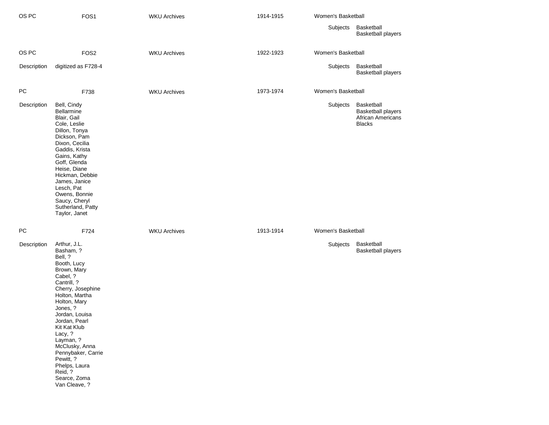| OS PC       | FOS1                                                                                                                                                                                                                                                                                                                                                          | <b>WKU Archives</b> | 1914-1915 | Women's Basketball |                                                                        |
|-------------|---------------------------------------------------------------------------------------------------------------------------------------------------------------------------------------------------------------------------------------------------------------------------------------------------------------------------------------------------------------|---------------------|-----------|--------------------|------------------------------------------------------------------------|
|             |                                                                                                                                                                                                                                                                                                                                                               |                     |           | Subjects           | Basketball<br><b>Basketball players</b>                                |
| OS PC       | FOS <sub>2</sub>                                                                                                                                                                                                                                                                                                                                              | <b>WKU Archives</b> | 1922-1923 | Women's Basketball |                                                                        |
| Description | digitized as F728-4                                                                                                                                                                                                                                                                                                                                           |                     |           | Subjects           | Basketball<br><b>Basketball players</b>                                |
| PC          | F738                                                                                                                                                                                                                                                                                                                                                          | <b>WKU Archives</b> | 1973-1974 | Women's Basketball |                                                                        |
| Description | Bell, Cindy<br><b>Bellarmine</b><br>Blair, Gail<br>Cole, Leslie<br>Dillon, Tonya<br>Dickson, Pam<br>Dixon, Cecilia<br>Gaddis, Krista<br>Gains, Kathy<br>Goff, Glenda<br>Heise, Diane<br>Hickman, Debbie<br>James, Janice<br>Lesch, Pat<br>Owens, Bonnie<br>Saucy, Cheryl<br>Sutherland, Patty<br>Taylor, Janet                                                |                     |           | Subjects           | Basketball<br>Basketball players<br>African Americans<br><b>Blacks</b> |
| РC          | F724                                                                                                                                                                                                                                                                                                                                                          | <b>WKU Archives</b> | 1913-1914 | Women's Basketball |                                                                        |
| Description | Arthur, J.L.<br>Basham, ?<br>Bell, ?<br>Booth, Lucy<br>Brown, Mary<br>Cabel, ?<br>Cantrill, ?<br>Cherry, Josephine<br>Holton, Martha<br>Holton, Mary<br>Jones, ?<br>Jordan, Louisa<br>Jordan, Pearl<br>Kit Kat Klub<br>Lacy, ?<br>Layman, ?<br>McClusky, Anna<br>Pennybaker, Carrie<br>Pewitt, ?<br>Phelps, Laura<br>Reid, ?<br>Searce, Zoma<br>Van Cleave, ? |                     |           | Subjects           | Basketball<br><b>Basketball players</b>                                |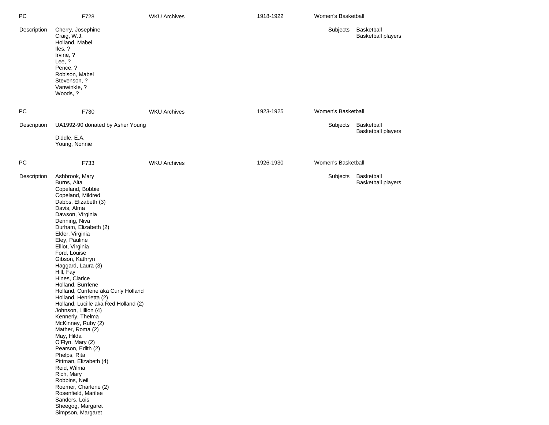| PC          | F728                                                                                                                                                                                                                                                                                                                                                                                                                                                                                                                                                                                                                                                                                                                                                                                                      | <b>WKU Archives</b> | 1918-1922 | Women's Basketball |                                         |
|-------------|-----------------------------------------------------------------------------------------------------------------------------------------------------------------------------------------------------------------------------------------------------------------------------------------------------------------------------------------------------------------------------------------------------------------------------------------------------------------------------------------------------------------------------------------------------------------------------------------------------------------------------------------------------------------------------------------------------------------------------------------------------------------------------------------------------------|---------------------|-----------|--------------------|-----------------------------------------|
| Description | Cherry, Josephine<br>Craig, W.J.<br>Holland, Mabel<br>lles, ?<br>Irvine, ?<br>Lee, ?<br>Pence, ?<br>Robison, Mabel<br>Stevenson, ?<br>Vanwinkle, ?<br>Woods, ?                                                                                                                                                                                                                                                                                                                                                                                                                                                                                                                                                                                                                                            |                     |           | Subjects           | Basketball<br><b>Basketball players</b> |
| PC          | F730                                                                                                                                                                                                                                                                                                                                                                                                                                                                                                                                                                                                                                                                                                                                                                                                      | <b>WKU Archives</b> | 1923-1925 | Women's Basketball |                                         |
| Description | UA1992-90 donated by Asher Young<br>Diddle, E.A.<br>Young, Nonnie                                                                                                                                                                                                                                                                                                                                                                                                                                                                                                                                                                                                                                                                                                                                         |                     |           | Subjects           | Basketball<br><b>Basketball players</b> |
| PC          | F733                                                                                                                                                                                                                                                                                                                                                                                                                                                                                                                                                                                                                                                                                                                                                                                                      | <b>WKU Archives</b> | 1926-1930 | Women's Basketball |                                         |
| Description | Ashbrook, Mary<br>Burns, Alta<br>Copeland, Bobbie<br>Copeland, Mildred<br>Dabbs, Elizabeth (3)<br>Davis, Alma<br>Dawson, Virginia<br>Denning, Niva<br>Durham, Elizabeth (2)<br>Elder, Virginia<br>Eley, Pauline<br>Elliot, Virginia<br>Ford, Louise<br>Gibson, Kathryn<br>Haggard, Laura (3)<br>Hill, Fay<br>Hines, Clarice<br>Holland, Burrlene<br>Holland, Currlene aka Curly Holland<br>Holland, Henrietta (2)<br>Holland, Lucille aka Red Holland (2)<br>Johnson, Lillion (4)<br>Kennerly, Thelma<br>McKinney, Ruby (2)<br>Mather, Roma (2)<br>May, Hilda<br>O'Flyn, Mary (2)<br>Pearson, Edith (2)<br>Phelps, Rita<br>Pittman, Elizabeth (4)<br>Reid, Wilma<br>Rich, Mary<br>Robbins, Neil<br>Roemer, Charlene (2)<br>Rosenfield, Marilee<br>Sanders, Lois<br>Sheegog, Margaret<br>Simpson, Margaret |                     |           | Subjects           | Basketball<br><b>Basketball players</b> |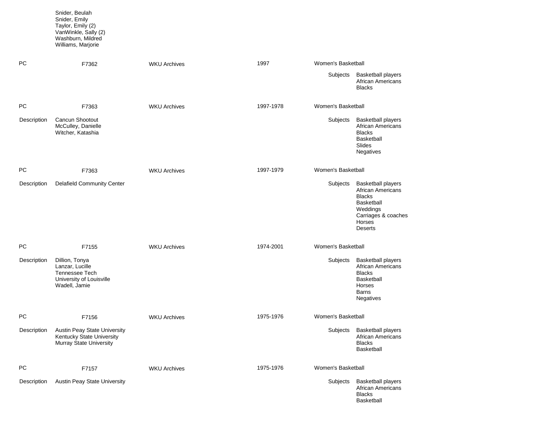|             | Snider, Emily<br>Taylor, Emily (2)<br>VanWinkle, Sally (2)<br>Washburn, Mildred<br>Williams, Marjorie |                     |           |                    |                                                                                                                                                            |
|-------------|-------------------------------------------------------------------------------------------------------|---------------------|-----------|--------------------|------------------------------------------------------------------------------------------------------------------------------------------------------------|
| PC.         | F7362                                                                                                 | <b>WKU Archives</b> | 1997      | Women's Basketball |                                                                                                                                                            |
|             |                                                                                                       |                     |           | Subjects           | <b>Basketball players</b><br>African Americans<br><b>Blacks</b>                                                                                            |
| PC          | F7363                                                                                                 | <b>WKU Archives</b> | 1997-1978 | Women's Basketball |                                                                                                                                                            |
| Description | Cancun Shootout<br>McCulley, Danielle<br>Witcher, Katashia                                            |                     |           | Subjects           | <b>Basketball players</b><br><b>African Americans</b><br><b>Blacks</b><br>Basketball<br>Slides<br>Negatives                                                |
| <b>PC</b>   | F7363                                                                                                 | <b>WKU Archives</b> | 1997-1979 | Women's Basketball |                                                                                                                                                            |
| Description | <b>Delafield Community Center</b>                                                                     |                     |           | Subjects           | <b>Basketball players</b><br><b>African Americans</b><br><b>Blacks</b><br><b>Basketball</b><br>Weddings<br>Carriages & coaches<br>Horses<br><b>Deserts</b> |
| PC.         | F7155                                                                                                 | <b>WKU Archives</b> | 1974-2001 | Women's Basketball |                                                                                                                                                            |
| Description | Dillion, Tonya<br>Lanzar, Lucille<br>Tennessee Tech<br>University of Louisville<br>Wadell, Jamie      |                     |           | Subjects           | <b>Basketball players</b><br><b>African Americans</b><br><b>Blacks</b><br>Basketball<br>Horses<br><b>Barns</b><br>Negatives                                |
| PC          | F7156                                                                                                 | <b>WKU Archives</b> | 1975-1976 | Women's Basketball |                                                                                                                                                            |
| Description | Austin Peay State University<br>Kentucky State University<br>Murray State University                  |                     |           | Subjects           | <b>Basketball players</b><br><b>African Americans</b><br><b>Blacks</b><br><b>Basketball</b>                                                                |
| PC          | F7157                                                                                                 | <b>WKU Archives</b> | 1975-1976 | Women's Basketball |                                                                                                                                                            |
| Description | Austin Peay State University                                                                          |                     |           | Subjects           | <b>Basketball players</b><br>African Americans<br><b>Blacks</b><br>Basketball                                                                              |

Snider, Beulah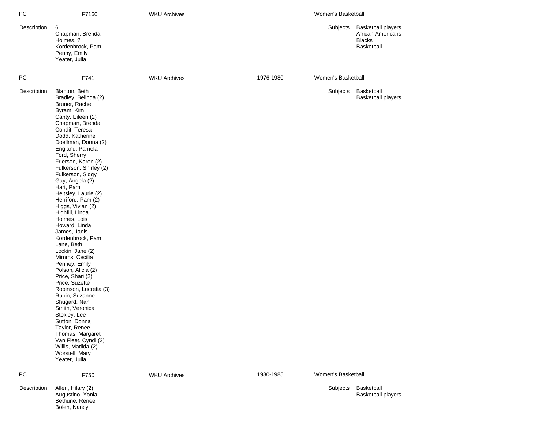| РC          | F7160                                                                                                                                                                                                                                                                                                                                                                                                                                                                                                                                                                                                                                                                                                                                                                                                                                                | <b>WKU Archives</b> |           | Women's Basketball |                                                                                      |
|-------------|------------------------------------------------------------------------------------------------------------------------------------------------------------------------------------------------------------------------------------------------------------------------------------------------------------------------------------------------------------------------------------------------------------------------------------------------------------------------------------------------------------------------------------------------------------------------------------------------------------------------------------------------------------------------------------------------------------------------------------------------------------------------------------------------------------------------------------------------------|---------------------|-----------|--------------------|--------------------------------------------------------------------------------------|
| Description | 6<br>Chapman, Brenda<br>Holmes, ?<br>Kordenbrock, Pam<br>Penny, Emily<br>Yeater, Julia                                                                                                                                                                                                                                                                                                                                                                                                                                                                                                                                                                                                                                                                                                                                                               |                     |           | Subjects           | <b>Basketball players</b><br><b>African Americans</b><br><b>Blacks</b><br>Basketball |
| <b>PC</b>   | F741                                                                                                                                                                                                                                                                                                                                                                                                                                                                                                                                                                                                                                                                                                                                                                                                                                                 | <b>WKU Archives</b> | 1976-1980 | Women's Basketball |                                                                                      |
| Description | Blanton, Beth<br>Bradley, Belinda (2)<br>Bruner, Rachel<br>Byram, Kim<br>Canty, Eileen (2)<br>Chapman, Brenda<br>Condit, Teresa<br>Dodd, Katherine<br>Doellman, Donna (2)<br>England, Pamela<br>Ford, Sherry<br>Frierson, Karen (2)<br>Fulkerson, Shirley (2)<br>Fulkerson, Siggy<br>Gay, Angela (2)<br>Hart, Pam<br>Heltsley, Laurie (2)<br>Herriford, Pam (2)<br>Higgs, Vivian (2)<br>Highfill, Linda<br>Holmes, Lois<br>Howard, Linda<br>James, Janis<br>Kordenbrock, Pam<br>Lane, Beth<br>Lockin, Jane (2)<br>Mimms, Cecilia<br>Penney, Emily<br>Polson, Alicia (2)<br>Price, Shari (2)<br>Price, Suzette<br>Robinson, Lucretia (3)<br>Rubin, Suzanne<br>Shugard, Nan<br>Smith, Veronica<br>Stokley, Lee<br>Sutton, Donna<br>Taylor, Renee<br>Thomas, Margaret<br>Van Fleet, Cyndi (2)<br>Willis, Matilda (2)<br>Worstell, Mary<br>Yeater, Julia |                     |           | Subjects           | Basketball<br><b>Basketball players</b>                                              |
| <b>PC</b>   | F750                                                                                                                                                                                                                                                                                                                                                                                                                                                                                                                                                                                                                                                                                                                                                                                                                                                 | <b>WKU Archives</b> | 1980-1985 | Women's Basketball |                                                                                      |
| Description | Allen, Hilary (2)<br>Augustino, Yonia<br>Bethune, Renee                                                                                                                                                                                                                                                                                                                                                                                                                                                                                                                                                                                                                                                                                                                                                                                              |                     |           | Subjects           | Basketball<br><b>Basketball players</b>                                              |

Bolen, Nancy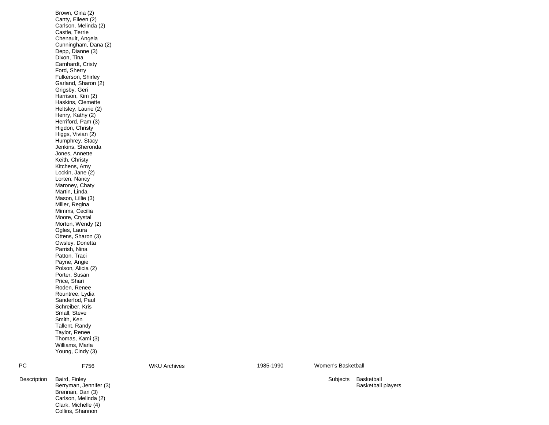|             | Canty, Eileen (2)<br>Carlson, Melinda (2)<br>Castle, Terrie<br>Chenault, Angela<br>Cunningham, Dana (2)<br>Depp, Dianne (3)<br>Dixon, Tina<br>Earnhardt, Cristy<br>Ford, Sherry<br>Fulkerson, Shirley<br>Garland, Sharon (2)<br>Grigsby, Geri<br>Harrison, Kim (2)<br>Haskins, Clemette<br>Heltsley, Laurie (2)<br>Henry, Kathy (2)<br>Herriford, Pam (3)<br>Higdon, Christy<br>Higgs, Vivian (2)<br>Humphrey, Stacy<br>Jenkins, Sheronda<br>Jones, Annette<br>Keith, Christy<br>Kitchens, Amy<br>Lockin, Jane (2)<br>Lorten, Nancy<br>Maroney, Chaty<br>Martin, Linda<br>Mason, Lillie (3)<br>Miller, Regina<br>Mimms, Cecilia<br>Moore, Crystal<br>Morton, Wendy (2)<br>Ogles, Laura<br>Ottens, Sharon (3)<br>Owsley, Donetta<br>Parrish, Nina<br>Patton, Traci<br>Payne, Angie<br>Polson, Alicia (2)<br>Porter, Susan<br>Price, Shari<br>Roden, Renee<br>Rountree, Lydia<br>Sanderfod, Paul<br>Schreiber, Kris<br>Small, Steve<br>Smith, Ken<br>Tallent, Randy<br>Taylor, Renee<br>Thomas, Kami (3)<br>Williams, Marla<br>Young, Cindy (3) |                     |           |              |
|-------------|-----------------------------------------------------------------------------------------------------------------------------------------------------------------------------------------------------------------------------------------------------------------------------------------------------------------------------------------------------------------------------------------------------------------------------------------------------------------------------------------------------------------------------------------------------------------------------------------------------------------------------------------------------------------------------------------------------------------------------------------------------------------------------------------------------------------------------------------------------------------------------------------------------------------------------------------------------------------------------------------------------------------------------------------------|---------------------|-----------|--------------|
| PC          | F756                                                                                                                                                                                                                                                                                                                                                                                                                                                                                                                                                                                                                                                                                                                                                                                                                                                                                                                                                                                                                                          | <b>WKU Archives</b> | 1985-1990 | Women's Basl |
| Description | Baird, Finley<br>Berryman, Jennifer (3)                                                                                                                                                                                                                                                                                                                                                                                                                                                                                                                                                                                                                                                                                                                                                                                                                                                                                                                                                                                                       |                     |           | Subjects     |

Brennan, Dan (3) Carlson, Melinda (2) Clark, Michelle (4) Collins, Shannon

Women's Basketball

Subjects Basketball Basketball players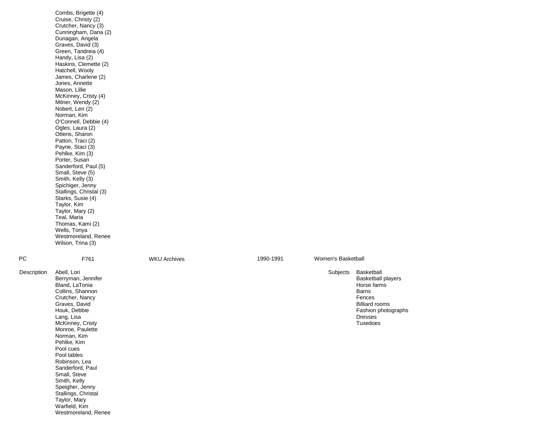|             | Combs, Brigette (4)<br>Cruise, Christy (2)<br>Crutcher, Nancy (3)<br>Cunningham, Dana (2)<br>Dunagan, Angela<br>Graves, David (3)<br>Green, Tandreia (4)<br>Handy, Lisa (2)<br>Haskins, Clemette (2)<br>Hatchell, Wooly<br>James, Charlene (2)<br>Jones, Annette<br>Mason, Lillie<br>McKinney, Cristy (4)<br>Milner, Wendy (2)<br>Nobert, Len (2)<br>Norman, Kim<br>O'Connell, Debbie (4)<br>Ogles, Laura (2)<br>Ottens, Sharon<br>Patton, Traci (2)<br>Payne, Staci (3)<br>Pehlke, Kim (3)<br>Porter, Susan<br>Sanderford, Paul (5)<br>Small, Steve (5)<br>Smith, Kelly (3)<br>Spichiger, Jenny<br>Stallings, Christal (3)<br>Starks, Susie (4)<br>Taylor, Kim<br>Taylor, Mary (2)<br>Teal, Maria<br>Thomas, Kami (2)<br>Wells, Tonya<br>Westmoreland, Renee<br>Wilson, Trina (3) |                     |           |                    |                                                                                                                                                         |
|-------------|------------------------------------------------------------------------------------------------------------------------------------------------------------------------------------------------------------------------------------------------------------------------------------------------------------------------------------------------------------------------------------------------------------------------------------------------------------------------------------------------------------------------------------------------------------------------------------------------------------------------------------------------------------------------------------------------------------------------------------------------------------------------------------|---------------------|-----------|--------------------|---------------------------------------------------------------------------------------------------------------------------------------------------------|
| <b>PC</b>   | F761                                                                                                                                                                                                                                                                                                                                                                                                                                                                                                                                                                                                                                                                                                                                                                               | <b>WKU Archives</b> | 1990-1991 | Women's Basketball |                                                                                                                                                         |
| Description | Abell, Lori<br>Berryman, Jennifer<br>Bland, LaTonia<br>Collins, Shannon<br>Crutcher, Nancy<br>Graves, David<br>Houk, Debbie<br>Lang, Lisa<br>McKinney, Cristy<br>Monroe, Paulette<br>Norman, Kim<br>Pehlke, Kim<br>Pool cues<br>Pool tables<br>Robinson, Lea<br>Sanderford, Paul<br>Small, Steve<br>Smith, Kelly<br>Speigher, Jenny<br>Stallings, Christal<br>Taylor, Mary<br>Warfield, Kim<br>Westmoreland, Renee                                                                                                                                                                                                                                                                                                                                                                 |                     |           | Subjects           | Basketball<br><b>Basketball players</b><br>Horse farms<br><b>Barns</b><br>Fences<br><b>Billiard rooms</b><br>Fashion photographs<br>Dresses<br>Tuxedoes |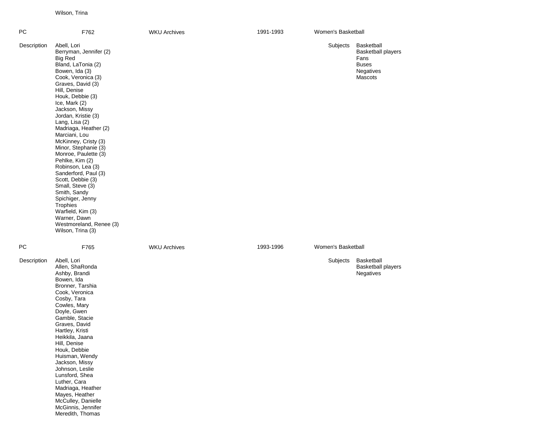Wilson, Trina

| PC          | F762                                                                                                                                                                                                                                                                                                                                                                                                                                                                                                                                                                                                                       | <b>WKU Archives</b> | 1991-1993 | Women's Basketball |                                                                                         |
|-------------|----------------------------------------------------------------------------------------------------------------------------------------------------------------------------------------------------------------------------------------------------------------------------------------------------------------------------------------------------------------------------------------------------------------------------------------------------------------------------------------------------------------------------------------------------------------------------------------------------------------------------|---------------------|-----------|--------------------|-----------------------------------------------------------------------------------------|
| Description | Abell, Lori<br>Berryman, Jennifer (2)<br><b>Big Red</b><br>Bland, LaTonia (2)<br>Bowen, Ida (3)<br>Cook, Veronica (3)<br>Graves, David (3)<br>Hill, Denise<br>Houk, Debbie (3)<br>Ice, Mark (2)<br>Jackson, Missy<br>Jordan, Kristie (3)<br>Lang, Lisa (2)<br>Madriaga, Heather (2)<br>Marciani, Lou<br>McKinney, Cristy (3)<br>Minor, Stephanie (3)<br>Monroe, Paulette (3)<br>Pehlke, Kim (2)<br>Robinson, Lea (3)<br>Sanderford, Paul (3)<br>Scott, Debbie (3)<br>Small, Steve (3)<br>Smith, Sandy<br>Spichiger, Jenny<br>Trophies<br>Warfield, Kim (3)<br>Warner, Dawn<br>Westmoreland, Renee (3)<br>Wilson, Trina (3) |                     |           | Subjects           | Basketball<br><b>Basketball players</b><br>Fans<br><b>Buses</b><br>Negatives<br>Mascots |
| ${\sf PC}$  | F765                                                                                                                                                                                                                                                                                                                                                                                                                                                                                                                                                                                                                       | <b>WKU Archives</b> | 1993-1996 | Women's Basketball |                                                                                         |
| Description | Abell, Lori<br>Allen, ShaRonda<br>Ashby, Brandi<br>Bowen, Ida<br>Bronner, Tarshia<br>Cook, Veronica<br>Cosby, Tara<br>Cowles, Mary<br>Doyle, Gwen<br>Gamble, Stacie<br>Graves, David<br>Hartley, Kristi<br>Heikkila, Jaana<br>Hill, Denise<br>Houk, Debbie<br>Huisman, Wendy<br>Jackson, Missy<br>Johnson, Leslie<br>Lunsford, Shea<br>Luther, Cara<br>Madriaga, Heather<br>Mayes, Heather<br>McCulley, Danielle<br>McGinnis, Jennifer<br>Meredith, Thomas                                                                                                                                                                 |                     |           | Subjects           | Basketball<br><b>Basketball players</b><br>Negatives                                    |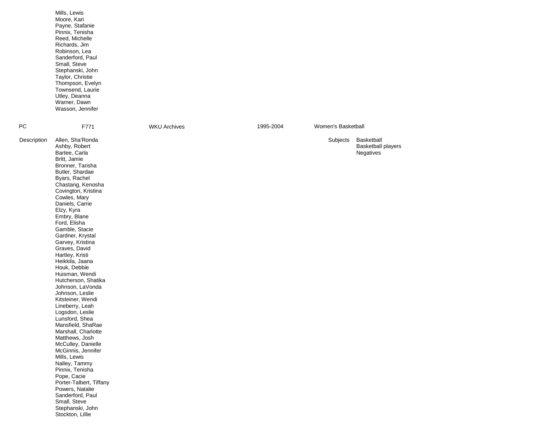|             | Mills, Lewis<br>Moore, Kari<br>Payne, Stafanie<br>Pinnix, Tenisha<br>Reed, Michelle<br>Richards, Jim<br>Robinson, Lea<br>Sanderford, Paul<br>Small, Steve<br>Stephanski, John<br>Taylor, Christie<br>Thompson, Evelyn<br>Townsend, Laurie<br>Utley, Deanna<br>Warner, Dawn<br>Wasson, Jennifer                                                                                                                                                                                                                                                                                                                                                                                                                                                                                                                                                               |                     |           |                    |                                                      |
|-------------|--------------------------------------------------------------------------------------------------------------------------------------------------------------------------------------------------------------------------------------------------------------------------------------------------------------------------------------------------------------------------------------------------------------------------------------------------------------------------------------------------------------------------------------------------------------------------------------------------------------------------------------------------------------------------------------------------------------------------------------------------------------------------------------------------------------------------------------------------------------|---------------------|-----------|--------------------|------------------------------------------------------|
| PС          | F771                                                                                                                                                                                                                                                                                                                                                                                                                                                                                                                                                                                                                                                                                                                                                                                                                                                         | <b>WKU Archives</b> | 1995-2004 | Women's Basketball |                                                      |
| Description | Allen, Sha'Ronda<br>Ashby, Robert<br>Bartee, Carla<br>Britt, Jamie<br>Bronner, Tarisha<br>Butler, Shardae<br>Byars, Rachel<br>Chastang, Kenosha<br>Covington, Kristina<br>Cowles, Mary<br>Daniels, Carrie<br>Elzy, Kyra<br>Embry, Blane<br>Ford, Elisha<br>Gamble, Stacie<br>Gardner, Krystal<br>Garvey, Kristina<br>Graves, David<br>Hartley, Kristi<br>Heikkila, Jaana<br>Houk, Debbie<br>Huisman, Wendi<br>Hutcherson, Shatika<br>Johnson, LaVonda<br>Johnson, Leslie<br>Kitsteiner, Wendi<br>Lineberry, Leah<br>Logsdon, Leslie<br>Lunsford, Shea<br>Mansfield, ShaRae<br>Marshall, Charlotte<br>Matthews, Josh<br>McCulley, Danielle<br>McGinnis, Jennifer<br>Mills, Lewis<br>Nalley, Tammy<br>Pinnix, Tenisha<br>Pope, Cacie<br>Porter-Talbert, Tiffany<br>Powers, Natalie<br>Sanderford, Paul<br>Small, Steve<br>Stephanski, John<br>Stockton, Lillie |                     |           | Subjects           | Basketball<br><b>Basketball players</b><br>Negatives |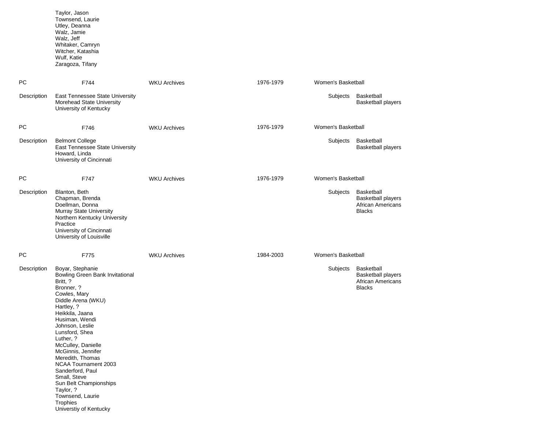|             | Taylor, Jason<br>Townsend, Laurie<br>Utley, Deanna<br>Walz, Jamie<br>Walz, Jeff<br>Whitaker, Camryn<br>Witcher, Katashia<br>Wulf, Katie<br>Zaragoza, Tifany                                                                                                                                                                                                                                                                 |                     |           |                    |                                                                                      |
|-------------|-----------------------------------------------------------------------------------------------------------------------------------------------------------------------------------------------------------------------------------------------------------------------------------------------------------------------------------------------------------------------------------------------------------------------------|---------------------|-----------|--------------------|--------------------------------------------------------------------------------------|
| PC          | F744                                                                                                                                                                                                                                                                                                                                                                                                                        | <b>WKU Archives</b> | 1976-1979 | Women's Basketball |                                                                                      |
| Description | East Tennessee State University<br>Morehead State University<br>University of Kentucky                                                                                                                                                                                                                                                                                                                                      |                     |           | Subjects           | Basketball<br><b>Basketball players</b>                                              |
| РC          | F746                                                                                                                                                                                                                                                                                                                                                                                                                        | <b>WKU Archives</b> | 1976-1979 | Women's Basketball |                                                                                      |
| Description | <b>Belmont College</b><br>East Tennessee State University<br>Howard, Linda<br>University of Cincinnati                                                                                                                                                                                                                                                                                                                      |                     |           | Subjects           | Basketball<br><b>Basketball players</b>                                              |
| PC          | F747                                                                                                                                                                                                                                                                                                                                                                                                                        | <b>WKU Archives</b> | 1976-1979 | Women's Basketball |                                                                                      |
| Description | Blanton, Beth<br>Chapman, Brenda<br>Doellman, Donna<br>Murray State University<br>Northern Kentucky University<br>Practice<br>University of Cincinnati<br>University of Louisville                                                                                                                                                                                                                                          |                     |           | Subjects           | Basketball<br><b>Basketball players</b><br><b>African Americans</b><br><b>Blacks</b> |
| PC          | F775                                                                                                                                                                                                                                                                                                                                                                                                                        | <b>WKU Archives</b> | 1984-2003 | Women's Basketball |                                                                                      |
| Description | Boyar, Stephanie<br>Bowling Green Bank Invitational<br>Britt, ?<br>Bronner, ?<br>Cowles, Mary<br>Diddle Arena (WKU)<br>Hartley, ?<br>Heikkila, Jaana<br>Husiman, Wendi<br>Johnson, Leslie<br>Lunsford, Shea<br>Luther, ?<br>McCulley, Danielle<br>McGinnis, Jennifer<br>Meredith, Thomas<br>NCAA Tournament 2003<br>Sanderford, Paul<br>Small, Steve<br>Sun Belt Championships<br>Taylor, ?<br>Townsend, Laurie<br>Trophies |                     |           | Subjects           | Basketball<br><b>Basketball players</b><br><b>African Americans</b><br><b>Blacks</b> |

Universtiy of Kentucky